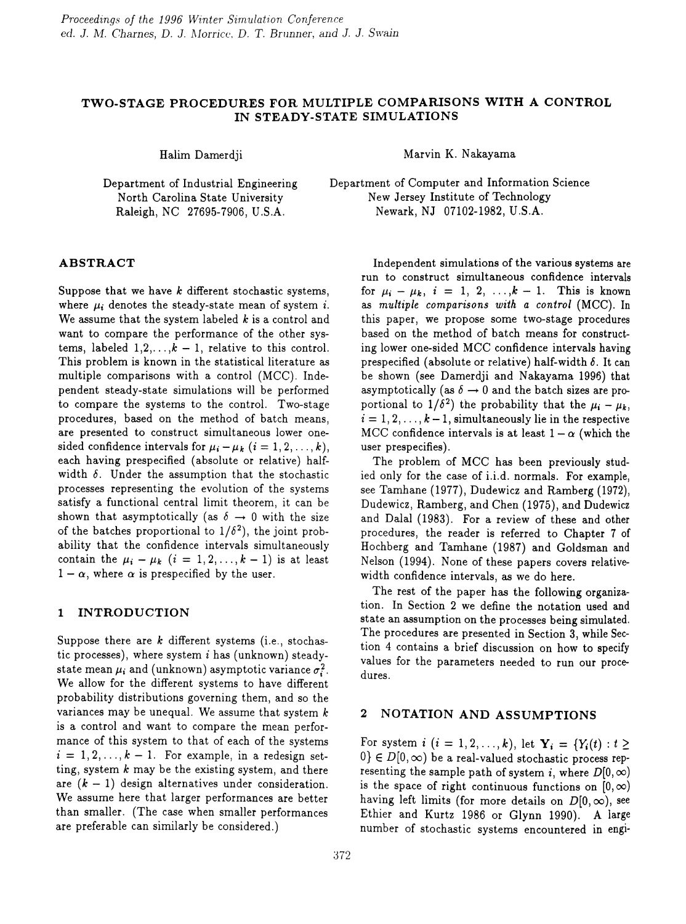# TWO-STAGE PROCEDURES FOR MULTIPLE COMPARISONS WITH A CONTROL IN STEADY-STATE SIMULATIONS

Halim Damerdji

Department of Industrial Engineering North Carolina State University Raleigh, NC 27695-7906, U.S.A.

Marvin K. Nakayama

Department of Computer and Information Science New Jersey Institute of Technology Newark, NJ 07102-1982, U.S.A.

### ABSTRACT

Suppose that we have *k* different stochastic systems, where  $\mu_i$  denotes the steady-state mean of system i. We assume that the system labeled *k* is a control and want to compare the performance of the other systems, labeled  $1, 2, \ldots, k-1$ , relative to this control. This problem is known in the statistical literature as multiple comparisons with a control (MCC). Independent steady-state simulations will be performed to compare the systems to the control. Two-stage procedures, based on the method of batch means, are presented to construct simultaneous lower onesided confidence intervals for  $\mu_i - \mu_k$   $(i = 1, 2, \ldots, k)$ , each having prespecified (absolute or relative) halfwidth  $\delta$ . Under the assumption that the stochastic processes representing the evolution of the systems satisfy a functional central limit theorem, it can be shown that asymptotically (as  $\delta \rightarrow 0$  with the size of the batches proportional to  $1/\delta^2$ ), the joint probability that the confidence intervals simultaneously contain the  $\mu_i - \mu_k$   $(i = 1, 2, ..., k - 1)$  is at least  $1 - \alpha$ , where  $\alpha$  is prespecified by the user.

# 1 INTRODUCTION

Suppose there are *k* different systems (i.e., stochastic processes), where system  $i$  has (unknown) steadystate mean  $\mu_i$  and (unknown) asymptotic variance  $\sigma_i^2$ . We allow for the different systems to have different probability distributions governing them, and so the variances may be unequal. We assume that system  $k$ is a control and want to compare the mean performance of this system to that of each of the systems  $i = 1, 2, \ldots, k - 1$ . For example, in a redesign setting, system  $k$  may be the existing system, and there are  $(k - 1)$  design alternatives under consideration. We assume here that larger performances are better than smaller. (The case when smaller performances are preferable can similarly be considered.)

Independent simulations of the various systems are run to construct simultaneous confidence intervals for  $\mu_i - \mu_k$ ,  $i = 1, 2, ..., k - 1$ . This is known as *multiple comparisons with a control* (MCC). In this paper, we propose some two-stage procedures based on the method of batch means for constructing lower one-sided MCC confidence intervals having prespecified (absolute or relative) half-width  $\delta$ . It can be shown (see Damerdji and Nakayama 1996) that asymptotically (as  $\delta \rightarrow 0$  and the batch sizes are proportional to  $1/\delta^2$ ) the probability that the  $\mu_i - \mu_k$ ,  $i = 1, 2, \ldots, k-1$ , simultaneously lie in the respective MCC confidence intervals is at least  $1 - \alpha$  (which the user prespecifies).

The problem of MCC has been previously studied only for the case of i.i.d. normals. For example, see Tamhane (1977), Dudewicz and Ramberg (1972), Dudewicz, Ramberg, and Chen (1975), and Dudewicz and Dalal (1983). For a review of these and other procedures, the reader is referred to Chapter 7 of Hochberg and Tamhane (1987) and Goldsman and Nelson (1994). None of these papers covers relativewidth confidence intervals, as we do here.

The rest of the paper has the following organization. In Section 2 we define the notation used and state an assumption on the processes being simulated. The procedures are presented in Section 3, while Section 4 contains a brief discussion on how to specify values for the parameters needed to run our procedures.

# 2 NOTATION AND ASSUMPTIONS

For system  $i$   $(i = 1, 2, ..., k)$ , let  $Y_i = \{Y_i(t) : t \geq 0\}$  $0 \in D[0,\infty)$  be a real-valued stochastic process representing the sample path of system i, where  $D[0, \infty)$ is the space of right continuous functions on  $[0,\infty)$ having left limits (for more details on  $D[0, \infty)$ , see Ethier and Kurtz 1986 or Glynn 1990). A large number of stochastic systems encountered in engi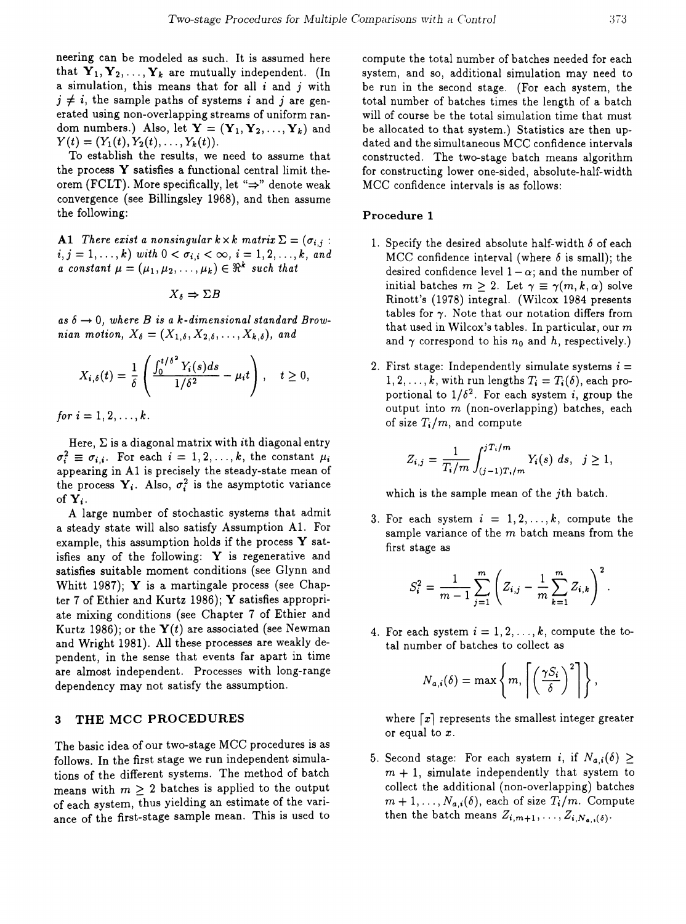neering can be modeled as such. It is assumed here that  $Y_1, Y_2, \ldots, Y_k$  are mutually independent. (In a simulation, this means that for all  $i$  and  $j$  with  $j \neq i$ , the sample paths of systems i and j are generated using non-overlapping streams of uniform random numbers.) Also, let  $\mathbf{Y} = (\mathbf{Y}_1, \mathbf{Y}_2, \dots, \mathbf{Y}_k)$  and  $Y(t) = (Y_1(t), Y_2(t), \ldots, Y_k(t)).$ 

To establish the results, we need to assume that the process  $Y$  satisfies a functional central limit theorem (FCLT). More specifically, let " $\Rightarrow$ " denote weak convergence (see Billingsley 1968), and then assume the following:

Al *There exist a nonsingular*  $k \times k$  *matrix*  $\Sigma = (\sigma_{i,j} :$  $i, j = 1, \ldots, k)$  *with*  $0 < \sigma_{i,i} < \infty, i = 1, 2, \ldots, k, and$ *a constant*  $\mu = (\mu_1, \mu_2, \ldots, \mu_k) \in \Re^k$  *such that* 

$$
X_{\delta} \Rightarrow \Sigma B
$$

 $as \delta \rightarrow 0$ , where *B* is a *k*-dimensional standard *Brownian motion,*  $X_{\delta} = (X_{1,\delta}, X_{2,\delta}, \ldots, X_{k,\delta})$ , and

$$
X_{i,\delta}(t)=\frac{1}{\delta}\left(\frac{\int_0^{t/\delta^2}Y_i(s)ds}{1/\delta^2}-\mu_it\right), \quad t\geq 0,
$$

*for*  $i = 1, 2, ..., k$ .

Here,  $\Sigma$  is a diagonal matrix with *i*th diagonal entry  $\sigma_i^2 \equiv \sigma_{i,i}$ . For each  $i = 1, 2, \ldots, k$ , the constant  $\mu_i$ appearing in Al is precisely the steady-state mean of the process  $Y_i$ . Also,  $\sigma_i^2$  is the asymptotic variance of  $Y_i$ .

A large number of stochastic systems that admit a steady state will also satisfy Assumption AI. For example, this assumption holds if the process  $\bf{Y}$  satisfies any of the following:  $Y$  is regenerative and satisfies suitable moment conditions (see Glynn and Whitt 1987);  $Y$  is a martingale process (see Chapter 7 of Ethier and Kurtz 1986); Y satisfies appropriate mixing conditions (see Chapter 7 of Ethier and Kurtz 1986); or the  $Y(t)$  are associated (see Newman and Wright 1981). All these processes are weakly dependent, in the sense that events far apart in time are almost independent. Processes with long-range dependency may not satisfy the assumption.

#### 3 THE MCC PROCEDURES

The basic idea of our two-stage MCC procedures is as follows. In the first stage we run independent simulations of the different systems. The method of batch means with  $m \geq 2$  batches is applied to the output of each system, thus yielding an estimate of the variance of the first-stage sample mean. This is used to

compute the total number of batches needed for each system, and so, additional simulation may need to be run in the second stage. (For each system, the total number of batches times the length of a batch will of course be the total simulation time that must be allocated to that system.) Statistics are then updated and the simultaneous MCC confidence intervals constructed. The two-stage batch means algorithm for constructing lower one-sided, absolute-half-width MCC confidence intervals is as follows:

#### Procedure 1

- 1. Specify the desired absolute half-width  $\delta$  of each MCC confidence interval (where  $\delta$  is small); the desired confidence level  $1 - \alpha$ ; and the number of initial batches  $m \geq 2$ . Let  $\gamma \equiv \gamma(m, k, \alpha)$  solve Rinott's (1978) integral. (Wilcox 1984 presents tables for  $\gamma$ . Note that our notation differs from that used in Wilcox's tables. In particular, our  $m$ and  $\gamma$  correspond to his  $n_0$  and h, respectively.)
- 2. First stage: Independently simulate systems  $i =$  $1, 2, \ldots, k$ , with run lengths  $T_i = T_i(\delta)$ , each proportional to  $1/\delta^2$ . For each system *i*, group the output into  $m$  (non-overlapping) batches, each

of size 
$$
T_i/m
$$
, and compute  
\n
$$
Z_{i,j} = \frac{1}{T_i/m} \int_{(j-1)T_i/m}^{jT_i/m} Y_i(s) ds, \quad j \ge 1,
$$

which is the sample mean of the *j*th batch.

3. For each system  $i = 1, 2, ..., k$ , compute the sample variance of the  $m$  batch means from the first stage as

$$
S_i^2 = \frac{1}{m-1} \sum_{j=1}^m \left( Z_{i,j} - \frac{1}{m} \sum_{k=1}^m Z_{i,k} \right)^2.
$$

4. For each system  $i = 1, 2, \ldots, k$ , compute the total number of batches to collect as

$$
N_{a,i}(\delta) = \max \left\{ m, \left\lceil \left( \frac{\gamma S_i}{\delta} \right)^2 \right\rceil \right\},\
$$

where  $\lceil x \rceil$  represents the smallest integer greater or equal to *x.*

5. Second stage: For each system *i*, if  $N_{a,i}(\delta) \geq$  $m + 1$ , simulate independently that system to collect the additional (non-overlapping) batches  $m + 1, \ldots, N_{a,i}(\delta)$ , each of size  $T_i/m$ . Compute then the batch means  $Z_{i,m+1}, \ldots, Z_{i,N_{a,i}(\delta)}$ .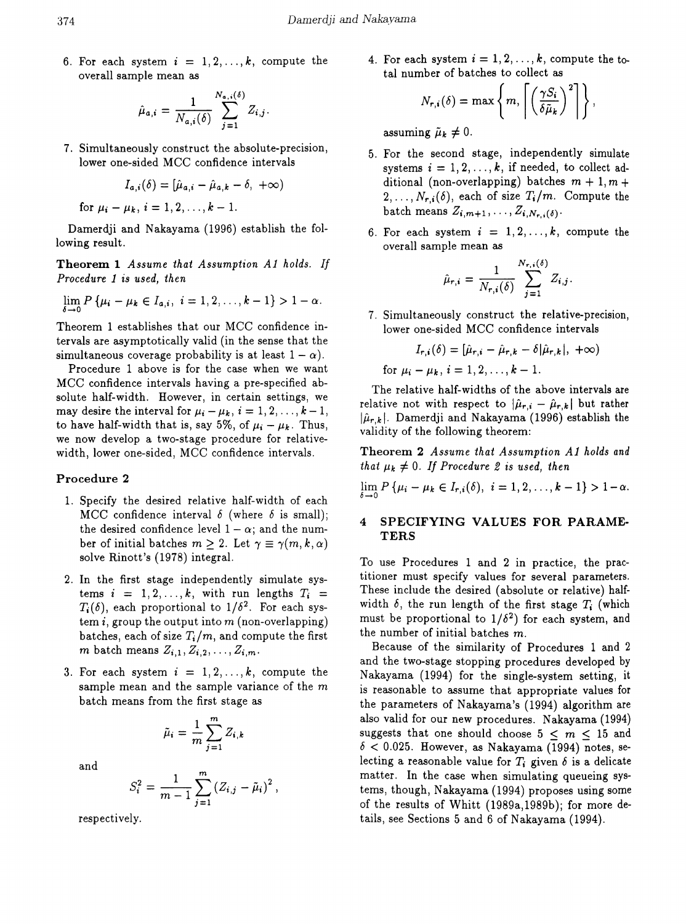6. For each system  $i = 1, 2, ..., k$ , compute the overall sample mean as

$$
\hat{\mu}_{a,i} = \frac{1}{N_{a,i}(\delta)} \sum_{j=1}^{N_{a,i}(\delta)} Z_{i,j}
$$

7. Simultaneously construct the absolute-precision, lower one-sided MCC confidence intervals

$$
I_{a,i}(\delta)=[\hat{\mu}_{a,i}-\hat{\mu}_{a,k}-\delta,+\infty)
$$

for  $\mu_i - \mu_k$ ,  $i = 1, 2, ..., k - 1$ .

Damerdji and Nakayama (1996) establish the following result.

Theorem 1 *Assume that Assumption Al holds. If Procedure* 1 is *used, then*

$$
\lim_{\delta \to 0} P\{\mu_i - \mu_k \in I_{a,i}, i = 1, 2, ..., k-1\} > 1 - \alpha.
$$

Theorem 1 establishes that our MCC confidence intervals are asymptotically valid (in the sense that the simultaneous coverage probability is at least  $1 - \alpha$ ).

Procedure 1 above is for the case when we want MCC confidence intervals having a pre-specified absolute half-width. However, in certain settings, we may desire the interval for  $\mu_i - \mu_k$ ,  $i = 1, 2, ..., k - 1$ , to have half-width that is, say 5%, of  $\mu_i - \mu_k$ . Thus, we now develop a two-stage procedure for relativewidth, lower one-sided, MCC confidence intervals.

### Procedure 2

- 1. Specify the desired relative half-width of each MCC confidence interval  $\delta$  (where  $\delta$  is small); the desired confidence level  $1 - \alpha$ ; and the number of initial batches  $m \geq 2$ . Let  $\gamma \equiv \gamma(m, k, \alpha)$ solve Rinott's (1978) integral.
- 2. In the first stage independently simulate systems  $i = 1, 2, ..., k$ , with run lengths  $T_i = T_i(\delta)$ , each proportional to  $1/\delta^2$ . For each system *i*, group the output into m (non-overlapping) batches, each of size  $T_i/m$ , and compute the first *m* batch means  $Z_{i,1}, Z_{i,2}, \ldots, Z_{i,m}$ .
- 3. For each system  $i = 1, 2, ..., k$ , compute the sample mean and the sample variance of the m batch means from the first stage as

$$
\tilde{\mu}_i = \frac{1}{m} \sum_{j=1}^m Z_{i,k}
$$

and

$$
S_i^2 = \frac{1}{m-1} \sum_{j=1}^m (Z_{i,j} - \tilde{\mu}_i)^2,
$$

respectively.

4. For each system  $i = 1, 2, \ldots, k$ , compute the total number of batches to collect as

$$
N_{r,i}(\delta) = \max \left\{ m, \left\lceil \left( \frac{\gamma S_i}{\delta \tilde{\mu}_k} \right)^2 \right\rceil \right\},\
$$

assuming  $\tilde{\mu}_k \neq 0$ .

- 5. For the second stage, independently simulate systems  $i = 1, 2, \ldots, k$ , if needed, to collect additional (non-overlapping) batches  $m + 1, m +$  $2, \ldots, N_{r,i}(\delta)$ , each of size  $T_i/m$ . Compute the batch means  $Z_{i,m+1}, \ldots, Z_{i,N_r,i(\delta)}$ .
- 6. For each system  $i = 1, 2, ..., k$ , compute the overall sample mean as

$$
\hat{\mu}_{r,i} = \frac{1}{N_{r,i}(\delta)} \sum_{j=1}^{N_{r,i}(\delta)} Z_{i,j}.
$$

7. Simultaneously construct the relative-precision, lower one-sided MCC confidence intervals

$$
I_{r,i}(\delta) = [\hat{\mu}_{r,i} - \hat{\mu}_{r,k} - \delta | \hat{\mu}_{r,k} |, +\infty)
$$
  
for  $\mu_i - \mu_k$ ,  $i = 1, 2, ..., k - 1$ .

The relative half-widths of the above intervals are relative not with respect to  $|\hat{\mu}_{r,i} - \hat{\mu}_{r,k}|$  but rather  $|\hat{\mu}_{r,k}|$ . Damerdji and Nakayama (1996) establish the validity of the following theorem:

Theorem 2 *Assume that Assumption A1 holds and that*  $\mu_k \neq 0$ . If Procedure 2 is used, then

$$
\lim_{\delta \to 0} P\left\{\mu_i - \mu_k \in I_{r,i}(\delta), i = 1, 2, \ldots, k-1\right\} > 1-\alpha.
$$

### 4 SPECIFYING VALUES FOR PARAME-TERS

To use Procedures 1 and 2 in practice, the practitioner must specify values for several parameters. These include the desired (absolute or relative) halfwidth  $\delta$ , the run length of the first stage  $T_i$  (which must be proportional to  $1/\delta^2$  for each system, and the number of initial batches m.

Because of the similarity of Procedures 1 and 2 and the two-stage stopping procedures developed by Nakayama (1994) for the single-system setting, it is reasonable to assume that appropriate values for the parameters of Nakayama's (1994) algorithm are also valid for our new procedures. Nakayama (1994) suggests that one should choose  $5 < m < 15$  and  $\delta$  < 0.025. However, as Nakayama (1994) notes, selecting a reasonable value for  $T_i$  given  $\delta$  is a delicate matter. In the case when simulating queueing systems, though, Nakayama (1994) proposes using some of the results of Whitt (1989a,1989b); for more details, see Sections 5 and 6 of Nakayama (1994).